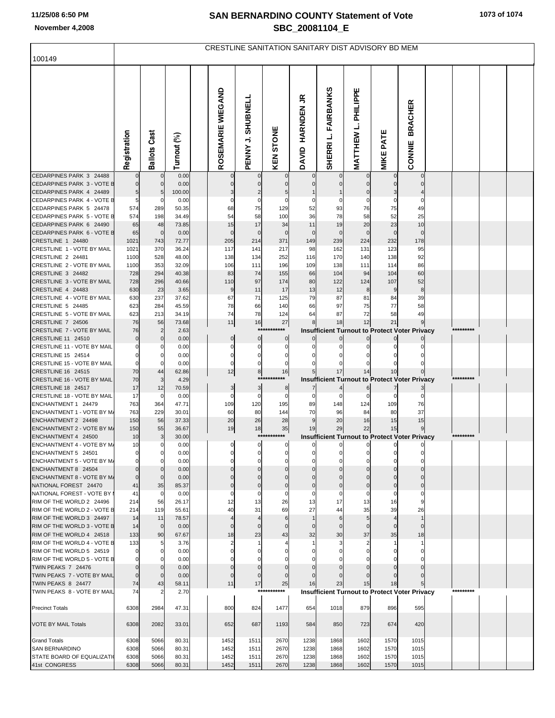## **SAN BERNARDINO COUNTY Statement of Vote November 4,2008 SBC\_20081104\_E**

|                                                         | CRESTLINE SANITATION SANITARY DIST ADVISORY BD MEM |                               |                |  |                    |                      |                      |                            |                               |                            |                               |                                                      |           |  |
|---------------------------------------------------------|----------------------------------------------------|-------------------------------|----------------|--|--------------------|----------------------|----------------------|----------------------------|-------------------------------|----------------------------|-------------------------------|------------------------------------------------------|-----------|--|
| 100149                                                  |                                                    |                               |                |  |                    |                      |                      |                            |                               |                            |                               |                                                      |           |  |
|                                                         | Registration                                       | <b>Ballots Cast</b>           | Turnout (%)    |  | ROSEMARIE WIEGAND  | PENNY J. SHUBNELL    | KEN STONE            | <b>HARNDEN JR</b><br>DAVID | <b>FAIRBANKS</b><br>SHERRI L. | MATTHEW L. PHILIPPE        | <b>MIKE PATE</b>              | <b>BRACHER</b><br>CONNIE                             |           |  |
| CEDARPINES PARK 3 24488                                 |                                                    | $\mathbf 0$                   | 0.00           |  | $\mathbf 0$        | 0                    |                      |                            |                               |                            |                               |                                                      |           |  |
| CEDARPINES PARK 3 - VOTE B<br>CEDARPINES PARK 4 24489   | $5 \mid$                                           | $\Omega$<br>5                 | 0.00<br>100.00 |  | $\mathbf 0$        | $\mathbf 0$          | 5                    |                            |                               | 0                          | 3                             |                                                      |           |  |
| CEDARPINES PARK 4 - VOTE B                              | 5                                                  | C.                            | 0.00           |  | 0                  | 0                    | 0                    |                            |                               | 0                          | 0                             |                                                      |           |  |
| CEDARPINES PARK 5 24478                                 | 574                                                | 289                           | 50.35          |  | 68                 | 75                   | 129                  | 52                         | 93                            | 76                         | 75                            | 49                                                   |           |  |
| CEDARPINES PARK 5 - VOTE B                              | 574                                                | 198                           | 34.49          |  | 54                 | 58                   | 100                  | 36                         | 78                            | 58                         | 52                            | 25                                                   |           |  |
| CEDARPINES PARK 6 24490                                 | 65                                                 | 48                            | 73.85          |  | 15                 | 17                   | 34                   | 11                         | 19                            | 20                         | 23                            | 10                                                   |           |  |
| CEDARPINES PARK 6 - VOTE B<br>CRESTLINE 1 24480         | 65<br>1021                                         | $\mathbf 0$<br>743            | 0.00<br>72.77  |  | $\mathbf 0$<br>205 | $\mathbf 0$<br>214   | $\mathbf 0$<br>371   | $\mathbf 0$<br>149         | 0<br>239                      | $\mathbf 0$<br>224         | $\mathbf 0$<br>232            | $\Omega$<br>178                                      |           |  |
| CRESTLINE 1 - VOTE BY MAIL                              | 1021                                               | 370                           | 36.24          |  | 117                | 141                  | 217                  | 98                         | 162                           | 131                        | 123                           | 95                                                   |           |  |
| CRESTLINE 2 24481                                       | 1100                                               | 528                           | 48.00          |  | 138                | 134                  | 252                  | 116                        | 170                           | 140                        | 138                           | 92                                                   |           |  |
| CRESTLINE 2 - VOTE BY MAIL                              | 1100                                               | 353                           | 32.09          |  | 106                | 111                  | 196                  | 109                        | 138                           | 111                        | 114                           | 86                                                   |           |  |
| CRESTLINE 3 24482                                       | 728                                                | 294                           | 40.38          |  | 83                 | 74                   | 155                  | 66                         | 104                           | 94                         | 104                           | 60                                                   |           |  |
| CRESTLINE 3 - VOTE BY MAIL<br>CRESTLINE 4 24483         | 728<br>630                                         | 296<br>23                     | 40.66          |  | 110<br>9           | 97<br>11             | 174<br>17            | 80<br>13                   | 122<br>12                     | 124<br>8                   | 107<br>9                      | 52<br>8                                              |           |  |
| CRESTLINE 4 - VOTE BY MAIL                              | 630                                                | 237                           | 3.65<br>37.62  |  | 67                 | 71                   | 125                  | 79                         | 87                            | 81                         | 84                            | 39                                                   |           |  |
| CRESTLINE 5 24485                                       | 623                                                | 284                           | 45.59          |  | 78                 | 66                   | 140                  | 66                         | 97                            | 75                         | 77                            | 58                                                   |           |  |
| CRESTLINE 5 - VOTE BY MAIL                              | 623                                                | 213                           | 34.19          |  | 74                 | 78                   | 124                  | 64                         | 87                            | 72                         | 58                            | 49                                                   |           |  |
| CRESTLINE 7 24506                                       | 76                                                 | 56                            | 73.68          |  | 11                 | 16                   | 27                   |                            | 18                            | 12                         | 21                            |                                                      |           |  |
| CRESTLINE 7 - VOTE BY MAIL<br>CRESTLINE 11 24510        | 76<br>0                                            | $\overline{2}$<br>$\mathbf 0$ | 2.63<br>0.00   |  |                    | ****                 | *****<br>0           |                            |                               |                            |                               | <b>Insufficient Turnout to Protect Voter Privacy</b> |           |  |
| CRESTLINE 11 - VOTE BY MAIL                             | 0                                                  | C                             | 0.00           |  | $\pmb{0}$<br>0     | $\overline{0}$<br>0  | 0                    |                            |                               |                            |                               |                                                      |           |  |
| CRESTLINE 15 24514                                      | 0                                                  | 0                             | 0.00           |  | 0                  | 0                    |                      |                            |                               | 0                          |                               |                                                      |           |  |
| CRESTLINE 15 - VOTE BY MAIL                             | $\Omega$                                           |                               | 0.00           |  | 0                  | 0                    |                      |                            |                               |                            |                               |                                                      |           |  |
| CRESTLINE 16 24515                                      | 70                                                 | 44                            | 62.86          |  | 12                 | 8<br>****            | 16<br>*******        |                            | 17                            | 14                         | 10                            |                                                      | ********* |  |
| CRESTLINE 16 - VOTE BY MAIL<br>CRESTLINE 18 24517       | 70<br>17                                           | 3<br>12                       | 4.29<br>70.59  |  | $\mathbf{3}$       | 3                    | 8                    |                            |                               |                            |                               | <b>Insufficient Turnout to Protect Voter Privacy</b> |           |  |
| CRESTLINE 18 - VOTE BY MAIL                             | 17                                                 | 0                             | 0.00           |  | 0                  | 0                    | 0                    | 0                          | 0                             | $\Omega$                   | $\Omega$                      |                                                      |           |  |
| ENCHANTMENT 1 24479                                     | 763                                                | 364                           | 47.71          |  | 109                | 120                  | 195                  | 89                         | 148                           | 124                        | 109                           | 76                                                   |           |  |
| ENCHANTMENT 1 - VOTE BY M/                              | 763                                                | 229                           | 30.01          |  | 60                 | 80                   | 144                  | 70                         | 96                            | 84                         | 80                            | 37                                                   |           |  |
| ENCHANTMENT 2 24498<br>ENCHANTMENT 2 - VOTE BY M/       | 150<br>150                                         | 56<br>55                      | 37.33<br>36.67 |  | 20<br>19           | 26<br>18             | 28                   | 9<br>19                    | 20<br>29                      | 16<br>22                   | 15<br>15                      | 15                                                   |           |  |
| ENCHANTMENT 4 24500                                     | 10                                                 | 3                             | 30.00          |  |                    |                      | 35<br>***********    |                            |                               |                            |                               | <b>Insufficient Turnout to Protect Voter Privacy</b> | ********* |  |
| ENCHANTMENT 4 - VOTE BY M/                              | 10                                                 | $\mathbf{0}$                  | 0.00           |  | $\mathbf{0}$       | $\overline{0}$       | $\boldsymbol{0}$     |                            |                               |                            |                               |                                                      |           |  |
| ENCHANTMENT 5 24501                                     |                                                    | $\Omega$                      | 0.00           |  |                    |                      |                      |                            |                               |                            |                               |                                                      |           |  |
| ENCHANTMENT 5 - VOTE BY M/<br>ENCHANTMENT 8 24504       | $\Omega$<br>$\Omega$                               | $\Omega$<br>$\Omega$          | 0.00           |  | O<br>$\Omega$      | $\Omega$<br>$\Omega$ | $\Omega$<br>$\Omega$ | $\Omega$<br>$\Omega$       | $\Omega$<br>$\mathbf 0$       | $\mathbf 0$<br>$\mathbf 0$ | $\Omega$<br>$\mathbf 0$       | $\Omega$                                             |           |  |
| ENCHANTMENT 8 - VOTE BY M/                              | $\Omega$                                           | $\Omega$                      | 0.00<br>0.00   |  | $\Omega$           | $\Omega$             | $\Omega$             | $\Omega$                   | $\mathbf 0$                   | $\mathbf 0$                | $\Omega$                      | $\Omega$                                             |           |  |
| NATIONAL FOREST 24470                                   | 41                                                 | 35                            | 85.37          |  | $\mathbf 0$        | $\overline{0}$       | $\mathbf 0$          | $\pmb{0}$                  | $\pmb{0}$                     | $\pmb{0}$                  | $\pmb{0}$                     | $\mathbf 0$                                          |           |  |
| NATIONAL FOREST - VOTE BY                               | 41                                                 | 0                             | 0.00           |  | $\mathbf 0$        | 0                    | $\mathbf 0$          | 0                          | 0                             | $\mathbf 0$                | $\mathbf 0$                   | $\Omega$                                             |           |  |
| RIM OF THE WORLD 2 24496                                | 214                                                | 56                            | 26.17          |  | 12                 | 13                   | 26                   | 13                         | 17                            | 13                         | 16                            | 9                                                    |           |  |
| RIM OF THE WORLD 2 - VOTE B<br>RIM OF THE WORLD 3 24497 | 214<br>14                                          | 119<br>11                     | 55.61<br>78.57 |  | 40                 | 31<br>4              | 69<br>6              | 27                         | 44<br>6                       | 35<br>5                    | 39<br>$\overline{\mathbf{4}}$ | 26<br>$\mathbf{1}$                                   |           |  |
| RIM OF THE WORLD 3 - VOTE B                             | 14                                                 | $\mathbf 0$                   | 0.00           |  | $\mathbf{0}$       | $\mathbf{0}$         | $\mathbf 0$          | $\mathbf 0$                | $\mathbf 0$                   | $\mathbf 0$                | $\mathbf{0}$                  | $\Omega$                                             |           |  |
| RIM OF THE WORLD 4 24518                                | 133                                                | 90                            | 67.67          |  | 18                 | 23                   | 43                   | 32                         | 30                            | 37                         | 35                            | 18                                                   |           |  |
| RIM OF THE WORLD 4 - VOTE B                             | 133                                                | 5                             | 3.76           |  | 2                  |                      |                      |                            | 3                             | $\overline{c}$             | 1                             | -1                                                   |           |  |
| RIM OF THE WORLD 5 24519<br>RIM OF THE WORLD 5 - VOTE B | $\Omega$                                           | $\mathbf 0$<br>C              | 0.00<br>0.00   |  | $\Omega$<br>O      | 0<br>O               |                      | $\Omega$                   | $\Omega$                      | $\mathbf 0$<br>$\Omega$    | $\Omega$                      | $\Omega$                                             |           |  |
| TWIN PEAKS 7 24476                                      | $\Omega$                                           | $\Omega$                      | 0.00           |  | $\mathbf{0}$       | $\Omega$             | $\Omega$             | $\Omega$                   | $\Omega$                      | $\Omega$                   | $\Omega$                      | $\Omega$                                             |           |  |
| TWIN PEAKS 7 - VOTE BY MAIL                             | $\Omega$                                           | $\Omega$                      | 0.00           |  | $\mathbf{0}$       | $\mathbf{0}$         |                      |                            |                               | $\Omega$                   |                               |                                                      |           |  |
| TWIN PEAKS 8 24477                                      | 74                                                 | 43                            | 58.11          |  | 11                 | 17                   | 25                   | 16                         | 23                            | 15                         | 18                            |                                                      |           |  |
| TWIN PEAKS 8 - VOTE BY MAIL                             | 74                                                 | 2                             | 2.70           |  |                    |                      | ***********          |                            |                               |                            |                               | <b>Insufficient Turnout to Protect Voter Privacy</b> | ********* |  |
| <b>Precinct Totals</b>                                  | 6308                                               | 2984                          | 47.31          |  | 800                | 824                  | 1477                 | 654                        | 1018                          | 879                        | 896                           | 595                                                  |           |  |
| <b>VOTE BY MAIL Totals</b>                              | 6308                                               | 2082                          | 33.01          |  | 652                | 687                  | 1193                 | 584                        | 850                           | 723                        | 674                           | 420                                                  |           |  |
| <b>Grand Totals</b>                                     | 6308                                               | 5066                          | 80.31          |  | 1452               | 1511                 | 2670                 | 1238                       | 1868                          | 1602                       | 1570                          | 1015                                                 |           |  |
| <b>SAN BERNARDINO</b><br>STATE BOARD OF EQUALIZATI      | 6308<br>6308                                       | 5066<br>5066                  | 80.31<br>80.31 |  | 1452<br>1452       | 1511<br>1511         | 2670<br>2670         | 1238<br>1238               | 1868<br>1868                  | 1602<br>1602               | 1570<br>1570                  | 1015<br>1015                                         |           |  |
| 41st CONGRESS                                           | 6308                                               | 5066                          | 80.31          |  | 1452               | 1511                 | 2670                 | 1238                       | 1868                          | 1602                       | 1570                          | 1015                                                 |           |  |